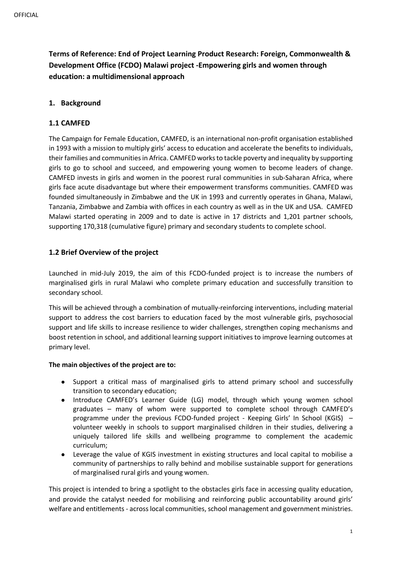**Terms of Reference: End of Project Learning Product Research: Foreign, Commonwealth & Development Office (FCDO) Malawi project -Empowering girls and women through education: a multidimensional approach**

# **1. Background**

# **1.1 CAMFED**

The Campaign for Female Education, CAMFED, is an international non-profit organisation established in 1993 with a mission to multiply girls' access to education and accelerate the benefits to individuals, their families and communities in Africa. CAMFED works to tackle poverty and inequality by supporting girls to go to school and succeed, and empowering young women to become leaders of change. CAMFED invests in girls and women in the poorest rural communities in sub-Saharan Africa, where girls face acute disadvantage but where their empowerment transforms communities. CAMFED was founded simultaneously in Zimbabwe and the UK in 1993 and currently operates in Ghana, Malawi, Tanzania, Zimbabwe and Zambia with offices in each country as well as in the UK and USA. CAMFED Malawi started operating in 2009 and to date is active in 17 districts and 1,201 partner schools, supporting 170,318 (cumulative figure) primary and secondary students to complete school.

# **1.2 Brief Overview of the project**

Launched in mid-July 2019, the aim of this FCDO-funded project is to increase the numbers of marginalised girls in rural Malawi who complete primary education and successfully transition to secondary school.

This will be achieved through a combination of mutually-reinforcing interventions, including material support to address the cost barriers to education faced by the most vulnerable girls, psychosocial support and life skills to increase resilience to wider challenges, strengthen coping mechanisms and boost retention in school, and additional learning support initiatives to improve learning outcomes at primary level.

# **The main objectives of the project are to:**

- Support a critical mass of marginalised girls to attend primary school and successfully transition to secondary education;
- Introduce CAMFED's Learner Guide (LG) model, through which young women school graduates – many of whom were supported to complete school through CAMFED's programme under the previous FCDO-funded project - Keeping Girls' In School (KGIS) – volunteer weekly in schools to support marginalised children in their studies, delivering a uniquely tailored life skills and wellbeing programme to complement the academic curriculum;
- Leverage the value of KGIS investment in existing structures and local capital to mobilise a community of partnerships to rally behind and mobilise sustainable support for generations of marginalised rural girls and young women.

This project is intended to bring a spotlight to the obstacles girls face in accessing quality education, and provide the catalyst needed for mobilising and reinforcing public accountability around girls' welfare and entitlements - across local communities, school management and government ministries.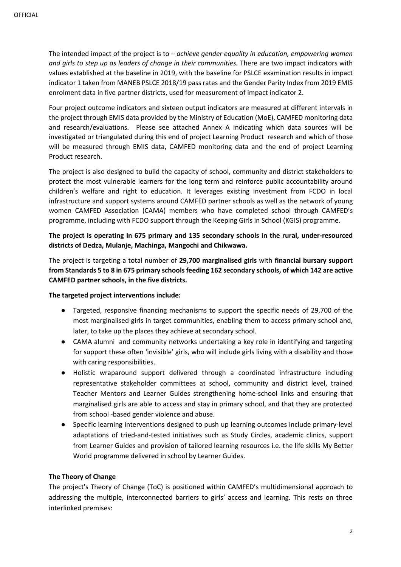The intended impact of the project is to – *achieve gender equality in education, empowering women and girls to step up as leaders of change in their communities.* There are two impact indicators with values established at the baseline in 2019, with the baseline for PSLCE examination results in impact indicator 1 taken from MANEB PSLCE 2018/19 pass rates and the Gender Parity Index from 2019 EMIS enrolment data in five partner districts, used for measurement of impact indicator 2.

Four project outcome indicators and sixteen output indicators are measured at different intervals in the project through EMIS data provided by the Ministry of Education (MoE), CAMFED monitoring data and research/evaluations. Please see attached Annex A indicating which data sources will be investigated or triangulated during this end of project Learning Product research and which of those will be measured through EMIS data, CAMFED monitoring data and the end of project Learning Product research.

The project is also designed to build the capacity of school, community and district stakeholders to protect the most vulnerable learners for the long term and reinforce public accountability around children's welfare and right to education. It leverages existing investment from FCDO in local infrastructure and support systems around CAMFED partner schools as well as the network of young women CAMFED Association (CAMA) members who have completed school through CAMFED's programme, including with FCDO support through the Keeping Girls in School (KGIS) programme.

# **The project is operating in 675 primary and 135 secondary schools in the rural, under-resourced districts of Dedza, Mulanje, Machinga, Mangochi and Chikwawa.**

The project is targeting a total number of **29,700 marginalised girls** with **financial bursary support from Standards 5 to 8 in 675 primary schools feeding 162 secondary schools, of which 142 are active CAMFED partner schools, in the five districts.**

### **The targeted project interventions include:**

- Targeted, responsive financing mechanisms to support the specific needs of 29,700 of the most marginalised girls in target communities, enabling them to access primary school and, later, to take up the places they achieve at secondary school.
- CAMA alumni and community networks undertaking a key role in identifying and targeting for support these often 'invisible' girls, who will include girls living with a disability and those with caring responsibilities.
- Holistic wraparound support delivered through a coordinated infrastructure including representative stakeholder committees at school, community and district level, trained Teacher Mentors and Learner Guides strengthening home-school links and ensuring that marginalised girls are able to access and stay in primary school, and that they are protected from school -based gender violence and abuse.
- Specific learning interventions designed to push up learning outcomes include primary-level adaptations of tried-and-tested initiatives such as Study Circles, academic clinics, support from Learner Guides and provision of tailored learning resources i.e. the life skills My Better World programme delivered in school by Learner Guides.

### **The Theory of Change**

The project's Theory of Change (ToC) is positioned within CAMFED's multidimensional approach to addressing the multiple, interconnected barriers to girls' access and learning. This rests on three interlinked premises: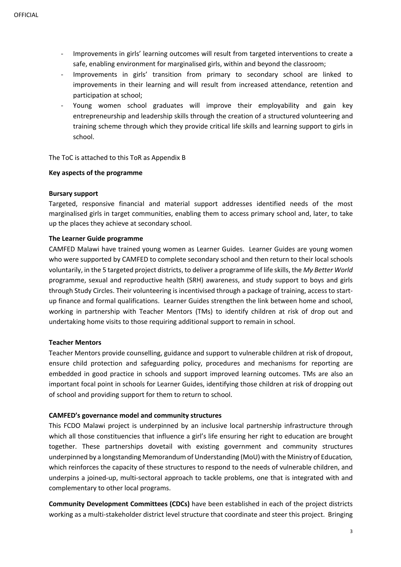- Improvements in girls' learning outcomes will result from targeted interventions to create a safe, enabling environment for marginalised girls, within and beyond the classroom;
- Improvements in girls' transition from primary to secondary school are linked to improvements in their learning and will result from increased attendance, retention and participation at school;
- Young women school graduates will improve their employability and gain key entrepreneurship and leadership skills through the creation of a structured volunteering and training scheme through which they provide critical life skills and learning support to girls in school.

The ToC is attached to this ToR as Appendix B

#### **Key aspects of the programme**

#### **Bursary support**

Targeted, responsive financial and material support addresses identified needs of the most marginalised girls in target communities, enabling them to access primary school and, later, to take up the places they achieve at secondary school.

#### **The Learner Guide programme**

CAMFED Malawi have trained young women as Learner Guides. Learner Guides are young women who were supported by CAMFED to complete secondary school and then return to their local schools voluntarily, in the 5 targeted project districts, to deliver a programme of life skills, the *My Better World* programme, sexual and reproductive health (SRH) awareness, and study support to boys and girls through Study Circles. Their volunteering is incentivised through a package of training, access to startup finance and formal qualifications. Learner Guides strengthen the link between home and school, working in partnership with Teacher Mentors (TMs) to identify children at risk of drop out and undertaking home visits to those requiring additional support to remain in school.

### **Teacher Mentors**

Teacher Mentors provide counselling, guidance and support to vulnerable children at risk of dropout, ensure child protection and safeguarding policy, procedures and mechanisms for reporting are embedded in good practice in schools and support improved learning outcomes. TMs are also an important focal point in schools for Learner Guides, identifying those children at risk of dropping out of school and providing support for them to return to school.

### **CAMFED's governance model and community structures**

This FCDO Malawi project is underpinned by an inclusive local partnership infrastructure through which all those constituencies that influence a girl's life ensuring her right to education are brought together. These partnerships dovetail with existing government and community structures underpinned by a longstanding Memorandum of Understanding (MoU) with the Ministry of Education*,*  which reinforces the capacity of these structures to respond to the needs of vulnerable children, and underpins a joined-up, multi-sectoral approach to tackle problems, one that is integrated with and complementary to other local programs.

**Community Development Committees (CDCs)** have been established in each of the project districts working as a multi-stakeholder district level structure that coordinate and steer this project. Bringing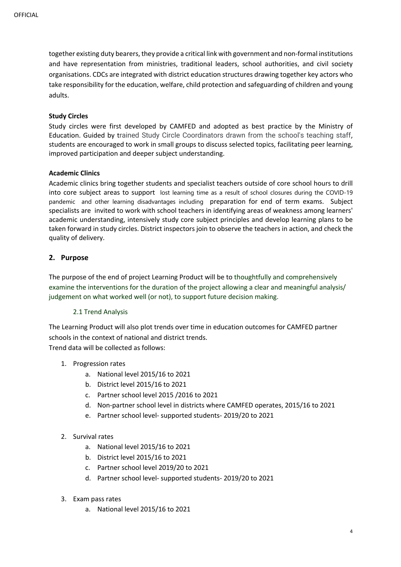together existing duty bearers, they provide a critical link with government and non-formal institutions and have representation from ministries, traditional leaders, school authorities, and civil society organisations. CDCs are integrated with district education structures drawing together key actors who take responsibility for the education, welfare, child protection and safeguarding of children and young adults.

### **Study Circles**

Study circles were first developed by CAMFED and adopted as best practice by the Ministry of Education. Guided by trained Study Circle Coordinators drawn from the school's teaching staff, students are encouraged to work in small groups to discuss selected topics, facilitating peer learning, improved participation and deeper subject understanding.

### **Academic Clinics**

Academic clinics bring together students and specialist teachers outside of core school hours to drill into core subject areas to support lost learning time as a result of school closures during the COVID-19 pandemic and other learning disadvantages including preparation for end of term exams. Subject specialists are invited to work with school teachers in identifying areas of weakness among learners' academic understanding, intensively study core subject principles and develop learning plans to be taken forward in study circles. District inspectors join to observe the teachers in action, and check the quality of delivery.

# **2. Purpose**

The purpose of the end of project Learning Product will be to thoughtfully and comprehensively examine the interventions for the duration of the project allowing a clear and meaningful analysis/ judgement on what worked well (or not), to support future decision making.

### 2.1 Trend Analysis

The Learning Product will also plot trends over time in education outcomes for CAMFED partner schools in the context of national and district trends.

Trend data will be collected as follows:

- 1. Progression rates
	- a. National level 2015/16 to 2021
	- b. District level 2015/16 to 2021
	- c. Partner school level 2015 /2016 to 2021
	- d. Non-partner school level in districts where CAMFED operates, 2015/16 to 2021
	- e. Partner school level- supported students- 2019/20 to 2021
- 2. Survival rates
	- a. National level 2015/16 to 2021
	- b. District level 2015/16 to 2021
	- c. Partner school level 2019/20 to 2021
	- d. Partner school level- supported students- 2019/20 to 2021
- 3. Exam pass rates
	- a. National level 2015/16 to 2021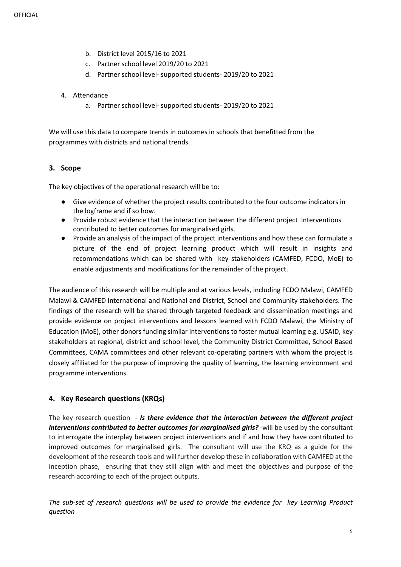- b. District level 2015/16 to 2021
- c. Partner school level 2019/20 to 2021
- d. Partner school level- supported students- 2019/20 to 2021
- 4. Attendance
	- a. Partner school level- supported students- 2019/20 to 2021

We will use this data to compare trends in outcomes in schools that benefitted from the programmes with districts and national trends.

# **3. Scope**

The key objectives of the operational research will be to:

- Give evidence of whether the project results contributed to the four outcome indicators in the logframe and if so how.
- Provide robust evidence that the interaction between the different project interventions contributed to better outcomes for marginalised girls.
- Provide an analysis of the impact of the project interventions and how these can formulate a picture of the end of project learning product which will result in insights and recommendations which can be shared with key stakeholders (CAMFED, FCDO, MoE) to enable adjustments and modifications for the remainder of the project.

The audience of this research will be multiple and at various levels, including FCDO Malawi, CAMFED Malawi & CAMFED International and National and District, School and Community stakeholders. The findings of the research will be shared through targeted feedback and dissemination meetings and provide evidence on project interventions and lessons learned with FCDO Malawi, the Ministry of Education (MoE), other donors funding similar interventions to foster mutual learning e.g. USAID, key stakeholders at regional, district and school level, the Community District Committee, School Based Committees, CAMA committees and other relevant co-operating partners with whom the project is closely affiliated for the purpose of improving the quality of learning, the learning environment and programme interventions.

# **4. Key Research questions (KRQs)**

The key research question - *Is there evidence that the interaction between the different project interventions contributed to better outcomes for marginalised girls? -*will be used by the consultant to interrogate the interplay between project interventions and if and how they have contributed to improved outcomes for marginalised girls. The consultant will use the KRQ as a guide for the development of the research tools and will further develop these in collaboration with CAMFED at the inception phase, ensuring that they still align with and meet the objectives and purpose of the research according to each of the project outputs.

*The sub-set of research questions will be used to provide the evidence for key Learning Product question*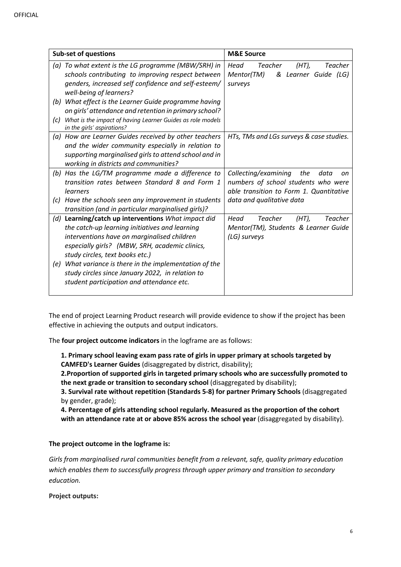| <b>Sub-set of questions</b> |                                                                                          | <b>M&amp;E Source</b>                                |
|-----------------------------|------------------------------------------------------------------------------------------|------------------------------------------------------|
|                             | (a) To what extent is the LG programme (MBW/SRH) in                                      | Head<br>Teacher<br>$(HT)$ ,<br>Teacher               |
|                             | schools contributing to improving respect between                                        | Mentor(TM)<br>& Learner Guide (LG)                   |
|                             | genders, increased self confidence and self-esteem/                                      | surveys                                              |
|                             | well-being of learners?                                                                  |                                                      |
| (b)                         | What effect is the Learner Guide programme having                                        |                                                      |
|                             | on girls' attendance and retention in primary school?                                    |                                                      |
| (c)                         | What is the impact of having Learner Guides as role models<br>in the girls' aspirations? |                                                      |
|                             | (a) How are Learner Guides received by other teachers                                    | HTs, TMs and LGs surveys & case studies.             |
|                             | and the wider community especially in relation to                                        |                                                      |
|                             | supporting marginalised girls to attend school and in                                    |                                                      |
|                             | working in districts and communities?                                                    |                                                      |
| (b)                         | Has the LG/TM programme made a difference to                                             | Collecting/examining<br>the<br>data<br>on            |
|                             | transition rates between Standard 8 and Form 1                                           | numbers of school students who were                  |
|                             | learners                                                                                 | able transition to Form 1. Quantitative              |
| (c)                         | Have the schools seen any improvement in students                                        | data and qualitative data                            |
|                             | transition (and in particular marginalised girls)?                                       |                                                      |
|                             | (d) Learning/catch up interventions What impact did                                      | <b>Teacher</b><br>$(HT)$ ,<br><b>Teacher</b><br>Head |
|                             | the catch-up learning initiatives and learning                                           | Mentor(TM), Students & Learner Guide                 |
|                             | interventions have on marginalised children                                              | (LG) surveys                                         |
|                             | especially girls? (MBW, SRH, academic clinics,                                           |                                                      |
|                             | study circles, text books etc.)                                                          |                                                      |
| (e)                         | What variance is there in the implementation of the                                      |                                                      |
|                             | study circles since January 2022, in relation to                                         |                                                      |
|                             | student participation and attendance etc.                                                |                                                      |
|                             |                                                                                          |                                                      |

The end of project Learning Product research will provide evidence to show if the project has been effective in achieving the outputs and output indicators.

The **four project outcome indicators** in the logframe are as follows:

**1. Primary school leaving exam pass rate of girls in upper primary at schools targeted by CAMFED's Learner Guides** (disaggregated by district, disability);

**2.Proportion of supported girls in targeted primary schools who are successfully promoted to the next grade or transition to secondary school** (disaggregated by disability);

**3. Survival rate without repetition (Standards 5-8) for partner Primary Schools** (disaggregated by gender, grade);

**4. Percentage of girls attending school regularly. Measured as the proportion of the cohort**  with an attendance rate at or above 85% across the school year (disaggregated by disability).

# **The project outcome in the logframe is:**

*Girls from marginalised rural communities benefit from a relevant, safe, quality primary education which enables them to successfully progress through upper primary and transition to secondary education.*

**Project outputs:**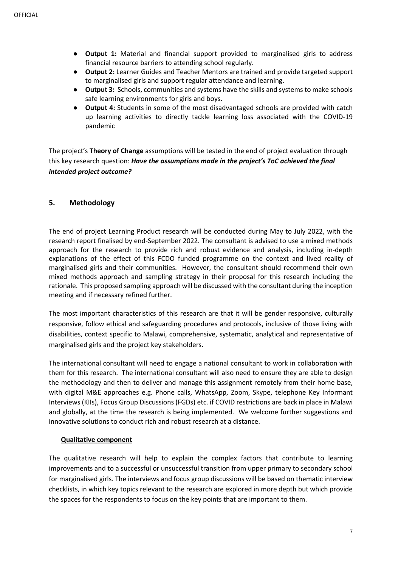- **Output 1:** Material and financial support provided to marginalised girls to address financial resource barriers to attending school regularly.
- **Output 2:** Learner Guides and Teacher Mentors are trained and provide targeted support to marginalised girls and support regular attendance and learning.
- **Output 3:** Schools, communities and systems have the skills and systems to make schools safe learning environments for girls and boys.
- **Output 4:** Students in some of the most disadvantaged schools are provided with catch up learning activities to directly tackle learning loss associated with the COVID-19 pandemic

The project's **Theory of Change** assumptions will be tested in the end of project evaluation through this key research question: *Have the assumptions made in the project's ToC achieved the final intended project outcome?*

# **5. Methodology**

The end of project Learning Product research will be conducted during May to July 2022, with the research report finalised by end-September 2022. The consultant is advised to use a mixed methods approach for the research to provide rich and robust evidence and analysis, including in-depth explanations of the effect of this FCDO funded programme on the context and lived reality of marginalised girls and their communities. However, the consultant should recommend their own mixed methods approach and sampling strategy in their proposal for this research including the rationale. This proposed sampling approach will be discussed with the consultant during the inception meeting and if necessary refined further.

The most important characteristics of this research are that it will be gender responsive, culturally responsive, follow ethical and safeguarding procedures and protocols, inclusive of those living with disabilities, context specific to Malawi, comprehensive, systematic, analytical and representative of marginalised girls and the project key stakeholders.

The international consultant will need to engage a national consultant to work in collaboration with them for this research. The international consultant will also need to ensure they are able to design the methodology and then to deliver and manage this assignment remotely from their home base, with digital M&E approaches e.g. Phone calls, WhatsApp, Zoom, Skype, telephone Key Informant Interviews (KIIs), Focus Group Discussions (FGDs) etc. if COVID restrictions are back in place in Malawi and globally, at the time the research is being implemented. We welcome further suggestions and innovative solutions to conduct rich and robust research at a distance.

### **Qualitative component**

The qualitative research will help to explain the complex factors that contribute to learning improvements and to a successful or unsuccessful transition from upper primary to secondary school for marginalised girls. The interviews and focus group discussions will be based on thematic interview checklists, in which key topics relevant to the research are explored in more depth but which provide the spaces for the respondents to focus on the key points that are important to them.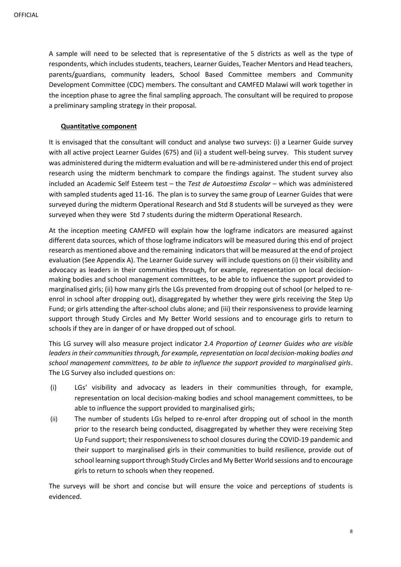A sample will need to be selected that is representative of the 5 districts as well as the type of respondents, which includes students, teachers, Learner Guides, Teacher Mentors and Head teachers, parents/guardians, community leaders, School Based Committee members and Community Development Committee (CDC) members. The consultant and CAMFED Malawi will work together in the inception phase to agree the final sampling approach. The consultant will be required to propose a preliminary sampling strategy in their proposal.

### **Quantitative component**

It is envisaged that the consultant will conduct and analyse two surveys: (i) a Learner Guide survey with all active project Learner Guides (675) and (ii) a student well-being survey. This student survey was administered during the midterm evaluation and will be re-administered under this end of project research using the midterm benchmark to compare the findings against. The student survey also included an Academic Self Esteem test – the *Test de Autoestima Escolar* – which was administered with sampled students aged 11-16. The plan is to survey the same group of Learner Guides that were surveyed during the midterm Operational Research and Std 8 students will be surveyed as they were surveyed when they were Std 7 students during the midterm Operational Research.

At the inception meeting CAMFED will explain how the logframe indicators are measured against different data sources, which of those logframe indicators will be measured during this end of project research as mentioned above and the remaining indicators that will be measured at the end of project evaluation (See Appendix A). The Learner Guide survey will include questions on (i) their visibility and advocacy as leaders in their communities through, for example, representation on local decisionmaking bodies and school management committees, to be able to influence the support provided to marginalised girls; (ii) how many girls the LGs prevented from dropping out of school (or helped to reenrol in school after dropping out), disaggregated by whether they were girls receiving the Step Up Fund; or girls attending the after-school clubs alone; and (iii) their responsiveness to provide learning support through Study Circles and My Better World sessions and to encourage girls to return to schools if they are in danger of or have dropped out of school.

This LG survey will also measure project indicator 2.4 *Proportion of Learner Guides who are visible leaders in their communities through, for example, representation on local decision-making bodies and school management committees, to be able to influence the support provided to marginalised girls*. The LG Survey also included questions on:

- (i) LGs' visibility and advocacy as leaders in their communities through, for example, representation on local decision-making bodies and school management committees, to be able to influence the support provided to marginalised girls;
- (ii) The number of students LGs helped to re-enrol after dropping out of school in the month prior to the research being conducted, disaggregated by whether they were receiving Step Up Fund support; their responsiveness to school closures during the COVID-19 pandemic and their support to marginalised girls in their communities to build resilience, provide out of school learning support through Study Circles and My Better World sessions and to encourage girls to return to schools when they reopened.

The surveys will be short and concise but will ensure the voice and perceptions of students is evidenced.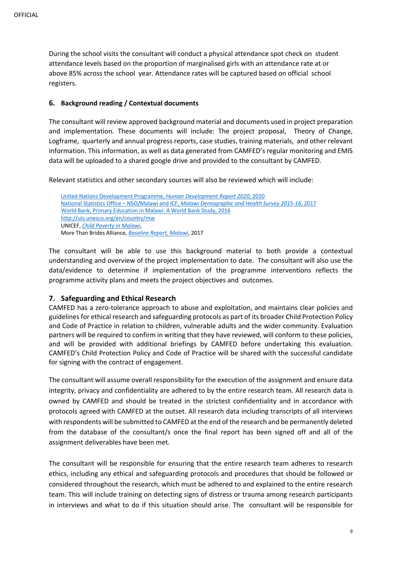During the school visits the consultant will conduct a physical attendance spot check on student attendance levels based on the proportion of marginalised girls with an attendance rate at or above 85% across the school year. Attendance rates will be captured based on official school registers.

### **6. Background reading / Contextual documents**

The consultant will review approved background material and documents used in project preparation and implementation. These documents will include: The project proposal, Theory of Change, Logframe, quarterly and annual progress reports, case studies, training materials, and other relevant information. This information, as well as data generated from CAMFED's regular monitoring and EMIS data will be uploaded to a shared google drive and provided to the consultant by CAMFED.

Relevant statistics and other secondary sources will also be reviewed which will include:

United Nations Development Programme, *Human Development Report 2020*, 2020 National Statistics Office – NSO/Malawi and ICF, *Malawi Demographic and Health Survey 2015-16*, 2017 World Bank, Primary Education in Malawi: A World Bank Study, 2016 http://uis.unesco.org/en/country/mw UNICEF, *Child Poverty in Malawi*, More Than Brides Alliance, *Baseline Report, Malawi*, 2017

The consultant will be able to use this background material to both provide a contextual understanding and overview of the project implementation to date. The consultant will also use the data/evidence to determine if implementation of the programme interventions reflects the programme activity plans and meets the project objectives and outcomes.

# **7. Safeguarding and Ethical Research**

CAMFED has a zero-tolerance approach to abuse and exploitation, and maintains clear policies and guidelines for ethical research and safeguarding protocols as part of its broader Child Protection Policy and Code of Practice in relation to children, vulnerable adults and the wider community. Evaluation partners will be required to confirm in writing that they have reviewed, will conform to these policies, and will be provided with additional briefings by CAMFED before undertaking this evaluation. CAMFED's Child Protection Policy and Code of Practice will be shared with the successful candidate for signing with the contract of engagement.

The consultant will assume overall responsibility for the execution of the assignment and ensure data integrity, privacy and confidentiality are adhered to by the entire research team. All research data is owned by CAMFED and should be treated in the strictest confidentiality and in accordance with protocols agreed with CAMFED at the outset. All research data including transcripts of all interviews with respondents will be submitted to CAMFED at the end of the research and be permanently deleted from the database of the consultant/s once the final report has been signed off and all of the assignment deliverables have been met.

The consultant will be responsible for ensuring that the entire research team adheres to research ethics, including any ethical and safeguarding protocols and procedures that should be followed or considered throughout the research, which must be adhered to and explained to the entire research team. This will include training on detecting signs of distress or trauma among research participants in interviews and what to do if this situation should arise. The consultant will be responsible for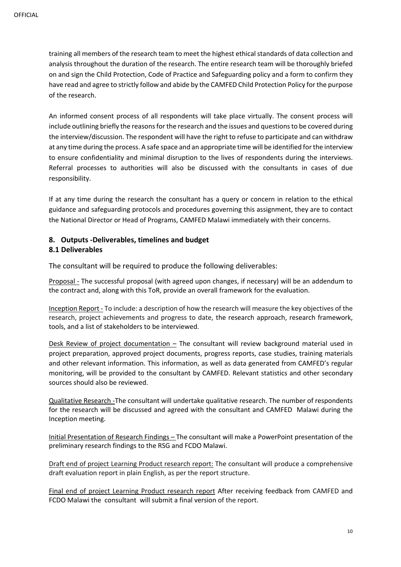training all members of the research team to meet the highest ethical standards of data collection and analysis throughout the duration of the research. The entire research team will be thoroughly briefed on and sign the Child Protection, Code of Practice and Safeguarding policy and a form to confirm they have read and agree to strictly follow and abide by the CAMFED Child Protection Policy for the purpose of the research.

An informed consent process of all respondents will take place virtually. The consent process will include outlining briefly the reasons for the research and the issues and questions to be covered during the interview/discussion. The respondent will have the right to refuse to participate and can withdraw at any time during the process. A safe space and an appropriate time will be identified for the interview to ensure confidentiality and minimal disruption to the lives of respondents during the interviews. Referral processes to authorities will also be discussed with the consultants in cases of due responsibility.

If at any time during the research the consultant has a query or concern in relation to the ethical guidance and safeguarding protocols and procedures governing this assignment, they are to contact the National Director or Head of Programs, CAMFED Malawi immediately with their concerns.

# **8. Outputs -Deliverables, timelines and budget 8.1 Deliverables**

The consultant will be required to produce the following deliverables:

Proposal - The successful proposal (with agreed upon changes, if necessary) will be an addendum to the contract and, along with this ToR, provide an overall framework for the evaluation.

Inception Report - To include: a description of how the research will measure the key objectives of the research, project achievements and progress to date, the research approach, research framework, tools, and a list of stakeholders to be interviewed.

Desk Review of project documentation  $-$  The consultant will review background material used in project preparation, approved project documents, progress reports, case studies, training materials and other relevant information. This information, as well as data generated from CAMFED's regular monitoring, will be provided to the consultant by CAMFED. Relevant statistics and other secondary sources should also be reviewed.

Qualitative Research -The consultant will undertake qualitative research. The number of respondents for the research will be discussed and agreed with the consultant and CAMFED Malawi during the Inception meeting.

Initial Presentation of Research Findings – The consultant will make a PowerPoint presentation of the preliminary research findings to the RSG and FCDO Malawi.

Draft end of project Learning Product research report: The consultant will produce a comprehensive draft evaluation report in plain English, as per the report structure.

Final end of project Learning Product research report After receiving feedback from CAMFED and FCDO Malawi the consultant will submit a final version of the report.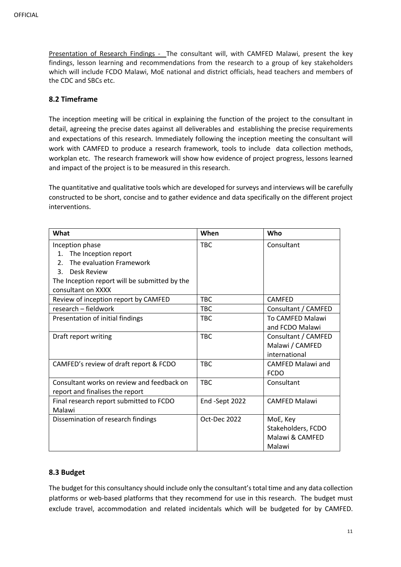Presentation of Research Findings - The consultant will, with CAMFED Malawi, present the key findings, lesson learning and recommendations from the research to a group of key stakeholders which will include FCDO Malawi, MoE national and district officials, head teachers and members of the CDC and SBCs etc.

# **8.2 Timeframe**

The inception meeting will be critical in explaining the function of the project to the consultant in detail, agreeing the precise dates against all deliverables and establishing the precise requirements and expectations of this research. Immediately following the inception meeting the consultant will work with CAMFED to produce a research framework, tools to include data collection methods, workplan etc. The research framework will show how evidence of project progress, lessons learned and impact of the project is to be measured in this research.

The quantitative and qualitative tools which are developed for surveys and interviews will be carefully constructed to be short, concise and to gather evidence and data specifically on the different project interventions.

| What                                          | When           | Who                  |
|-----------------------------------------------|----------------|----------------------|
| Inception phase                               | <b>TBC</b>     | Consultant           |
| The Inception report<br>$\mathbf{1}$ .        |                |                      |
| The evaluation Framework<br>2 <sub>1</sub>    |                |                      |
| <b>Desk Review</b><br>3.                      |                |                      |
| The Inception report will be submitted by the |                |                      |
| consultant on XXXX                            |                |                      |
| Review of inception report by CAMFED          | <b>TBC</b>     | <b>CAMFED</b>        |
| research - fieldwork                          | <b>TBC</b>     | Consultant / CAMFED  |
| Presentation of initial findings              | <b>TBC</b>     | To CAMFED Malawi     |
|                                               |                | and FCDO Malawi      |
| Draft report writing                          | <b>TBC</b>     | Consultant / CAMFED  |
|                                               |                | Malawi / CAMFED      |
|                                               |                | international        |
| CAMFED's review of draft report & FCDO        | <b>TBC</b>     | CAMFED Malawi and    |
|                                               |                | <b>FCDO</b>          |
| Consultant works on review and feedback on    | <b>TBC</b>     | Consultant           |
| report and finalises the report               |                |                      |
| Final research report submitted to FCDO       | End -Sept 2022 | <b>CAMFED Malawi</b> |
| Malawi                                        |                |                      |
| Dissemination of research findings            | Oct-Dec 2022   | MoE, Key             |
|                                               |                | Stakeholders, FCDO   |
|                                               |                | Malawi & CAMFED      |
|                                               |                | Malawi               |

# **8.3 Budget**

The budget for this consultancy should include only the consultant's total time and any data collection platforms or web-based platforms that they recommend for use in this research. The budget must exclude travel, accommodation and related incidentals which will be budgeted for by CAMFED.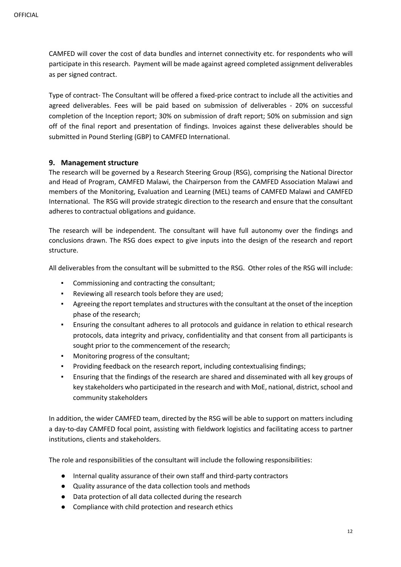CAMFED will cover the cost of data bundles and internet connectivity etc. for respondents who will participate in this research. Payment will be made against agreed completed assignment deliverables as per signed contract.

Type of contract- The Consultant will be offered a fixed-price contract to include all the activities and agreed deliverables. Fees will be paid based on submission of deliverables - 20% on successful completion of the Inception report; 30% on submission of draft report; 50% on submission and sign off of the final report and presentation of findings. Invoices against these deliverables should be submitted in Pound Sterling (GBP) to CAMFED International.

# **9. Management structure**

The research will be governed by a Research Steering Group (RSG), comprising the National Director and Head of Program, CAMFED Malawi, the Chairperson from the CAMFED Association Malawi and members of the Monitoring, Evaluation and Learning (MEL) teams of CAMFED Malawi and CAMFED International. The RSG will provide strategic direction to the research and ensure that the consultant adheres to contractual obligations and guidance.

The research will be independent. The consultant will have full autonomy over the findings and conclusions drawn. The RSG does expect to give inputs into the design of the research and report structure.

All deliverables from the consultant will be submitted to the RSG. Other roles of the RSG will include:

- Commissioning and contracting the consultant;
- Reviewing all research tools before they are used;
- Agreeing the report templates and structures with the consultant at the onset of the inception phase of the research;
- Ensuring the consultant adheres to all protocols and guidance in relation to ethical research protocols, data integrity and privacy, confidentiality and that consent from all participants is sought prior to the commencement of the research;
- Monitoring progress of the consultant;
- Providing feedback on the research report, including contextualising findings;
- Ensuring that the findings of the research are shared and disseminated with all key groups of key stakeholders who participated in the research and with MoE, national, district, school and community stakeholders

In addition, the wider CAMFED team, directed by the RSG will be able to support on matters including a day-to-day CAMFED focal point, assisting with fieldwork logistics and facilitating access to partner institutions, clients and stakeholders.

The role and responsibilities of the consultant will include the following responsibilities:

- Internal quality assurance of their own staff and third-party contractors
- Quality assurance of the data collection tools and methods
- Data protection of all data collected during the research
- Compliance with child protection and research ethics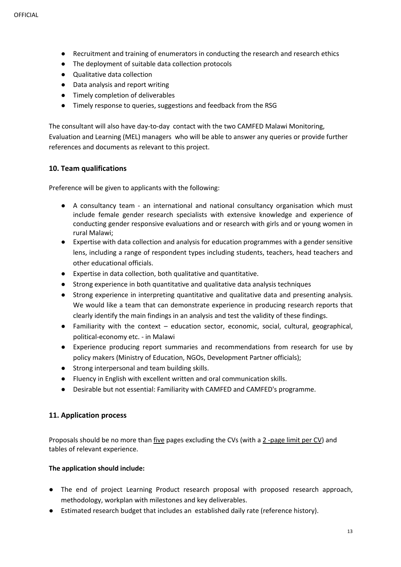- Recruitment and training of enumerators in conducting the research and research ethics
- The deployment of suitable data collection protocols
- Qualitative data collection
- Data analysis and report writing
- Timely completion of deliverables
- Timely response to queries, suggestions and feedback from the RSG

The consultant will also have day-to-day contact with the two CAMFED Malawi Monitoring, Evaluation and Learning (MEL) managers who will be able to answer any queries or provide further references and documents as relevant to this project.

# **10. Team qualifications**

Preference will be given to applicants with the following:

- A consultancy team an international and national consultancy organisation which must include female gender research specialists with extensive knowledge and experience of conducting gender responsive evaluations and or research with girls and or young women in rural Malawi;
- Expertise with data collection and analysis for education programmes with a gender sensitive lens, including a range of respondent types including students, teachers, head teachers and other educational officials.
- Expertise in data collection, both qualitative and quantitative.
- Strong experience in both quantitative and qualitative data analysis techniques
- Strong experience in interpreting quantitative and qualitative data and presenting analysis. We would like a team that can demonstrate experience in producing research reports that clearly identify the main findings in an analysis and test the validity of these findings.
- Familiarity with the context education sector, economic, social, cultural, geographical, political-economy etc. - in Malawi
- Experience producing report summaries and recommendations from research for use by policy makers (Ministry of Education, NGOs, Development Partner officials);
- Strong interpersonal and team building skills.
- Fluency in English with excellent written and oral communication skills.
- Desirable but not essential: Familiarity with CAMFED and CAMFED's programme.

# **11. Application process**

Proposals should be no more than five pages excluding the CVs (with a 2-page limit per CV) and tables of relevant experience.

# **The application should include:**

- The end of project Learning Product research proposal with proposed research approach, methodology, workplan with milestones and key deliverables.
- Estimated research budget that includes an established daily rate (reference history).